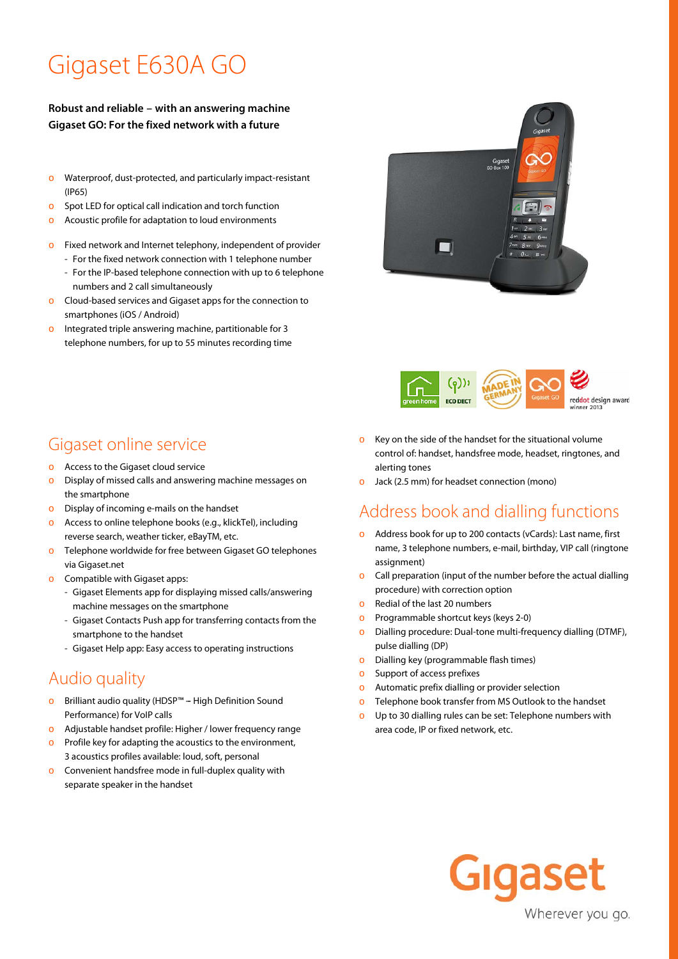# Gigaset E630A GO

#### **Robust and reliable – with an answering machine Gigaset GO: For the fixed network with a future**

- o Waterproof, dust-protected, and particularly impact-resistant (IP65)
- o Spot LED for optical call indication and torch function
- o Acoustic profile for adaptation to loud environments
- Fixed network and Internet telephony, independent of provider
	- For the fixed network connection with 1 telephone number
	- For the IP-based telephone connection with up to 6 telephone numbers and 2 call simultaneously
- o Cloud-based services and Gigaset apps for the connection to smartphones (iOS / Android)
- o Integrated triple answering machine, partitionable for 3 telephone numbers, for up to 55 minutes recording time



- o Access to the Gigaset cloud service
- o Display of missed calls and answering machine messages on the smartphone
- o Display of incoming e-mails on the handset
- o Access to online telephone books (e.g., klickTel), including reverse search, weather ticker, eBayTM, etc.
- o Telephone worldwide for free between Gigaset GO telephones via Gigaset.net
- Compatible with Gigaset apps:
	- Gigaset Elements app for displaying missed calls/answering machine messages on the smartphone
	- Gigaset Contacts Push app for transferring contacts from the smartphone to the handset
	- Gigaset Help app: Easy access to operating instructions

## Audio quality

- o Brilliant audio quality (HDSP™ -- High Definition Sound Performance) for VoIP calls
- o Adjustable handset profile: Higher / lower frequency range
- o Profile key for adapting the acoustics to the environment, 3 acoustics profiles available: loud, soft, personal
- o Convenient handsfree mode in full-duplex quality with separate speaker in the handset





- o Key on the side of the handset for the situational volume control of: handset, handsfree mode, headset, ringtones, and alerting tones
- Jack (2.5 mm) for headset connection (mono)

## Address book and dialling functions

- o Address book for up to 200 contacts (vCards): Last name, first name, 3 telephone numbers, e-mail, birthday, VIP call (ringtone assignment)
- o Call preparation (input of the number before the actual dialling procedure) with correction option
- o Redial of the last 20 numbers
- o Programmable shortcut keys (keys 2-0)
- o Dialling procedure: Dual-tone multi-frequency dialling (DTMF), pulse dialling (DP)
- o Dialling key (programmable flash times)
- Support of access prefixes
- o Automatic prefix dialling or provider selection
- o Telephone book transfer from MS Outlook to the handset
- Up to 30 dialling rules can be set: Telephone numbers with area code, IP or fixed network, etc.

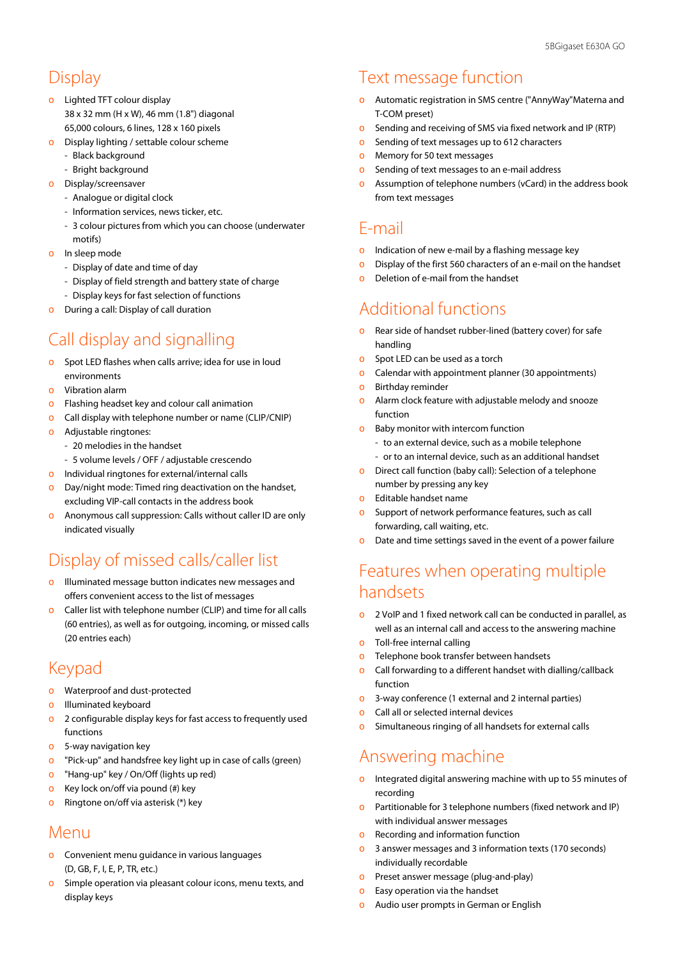#### Display

- o Lighted TFT colour display 38 x 32 mm (H x W), 46 mm (1.8") diagonal 65,000 colours, 6 lines, 128 x 160 pixels
- o Display lighting / settable colour scheme
	- Black background
		- Bright background
- o Display/screensaver
	- Analogue or digital clock
	- Information services, news ticker, etc.
	- 3 colour pictures from which you can choose (underwater
	- motifs)
- o In sleep mode
	- Display of date and time of day
	- Display of field strength and battery state of charge
	- Display keys for fast selection of functions
- During a call: Display of call duration

## Call display and signalling

- o Spot LED flashes when calls arrive; idea for use in loud environments
- Vibration alarm
- o Flashing headset key and colour call animation
- o Call display with telephone number or name (CLIP/CNIP)
- o Adjustable ringtones:
	- 20 melodies in the handset
	- 5 volume levels / OFF / adjustable crescendo
- o Individual ringtones for external/internal calls
- o Day/night mode: Timed ring deactivation on the handset, excluding VIP-call contacts in the address book
- o Anonymous call suppression: Calls without caller ID are only indicated visually

## Display of missed calls/caller list

- o Illuminated message button indicates new messages and offers convenient access to the list of messages
- Caller list with telephone number (CLIP) and time for all calls (60 entries), as well as for outgoing, incoming, or missed calls (20 entries each)

### Keypad

- o Waterproof and dust-protected
- o Illuminated keyboard
- o 2 configurable display keys for fast access to frequently used functions
- o 5-way navigation key
- o "Pick-up" and handsfree key light up in case of calls (green)
- o "Hang-up" key / On/Off (lights up red)
- o Key lock on/off via pound (#) key
- o Ringtone on/off via asterisk (\*) key

#### Menu

- o Convenient menu guidance in various languages (D, GB, F, I, E, P, TR, etc.)
- o Simple operation via pleasant colour icons, menu texts, and display keys

## Text message function

- o Automatic registration in SMS centre ("AnnyWay"Materna and T-COM preset)
- o Sending and receiving of SMS via fixed network and IP (RTP)
- o Sending of text messages up to 612 characters
- o Memory for 50 text messages
- o Sending of text messages to an e-mail address
- o Assumption of telephone numbers (vCard) in the address book from text messages

#### E-mail

- o Indication of new e-mail by a flashing message key
- o Display of the first 560 characters of an e-mail on the handset
- o Deletion of e-mail from the handset

## Additional functions

- o Rear side of handset rubber-lined (battery cover) for safe handling
- o Spot LED can be used as a torch
- o Calendar with appointment planner (30 appointments)
- o Birthday reminder
- o Alarm clock feature with adjustable melody and snooze function
- o Baby monitor with intercom function
	- to an external device, such as a mobile telephone
	- or to an internal device, such as an additional handset
- o Direct call function (baby call): Selection of a telephone number by pressing any key
- o Editable handset name
- o Support of network performance features, such as call forwarding, call waiting, etc.
- o Date and time settings saved in the event of a power failure

## Features when operating multiple handsets

- o 2 VoIP and 1 fixed network call can be conducted in parallel, as well as an internal call and access to the answering machine
- o Toll-free internal calling
- o Telephone book transfer between handsets
- o Call forwarding to a different handset with dialling/callback function
- o 3-way conference (1 external and 2 internal parties)
- Call all or selected internal devices
- o Simultaneous ringing of all handsets for external calls

## Answering machine

- o Integrated digital answering machine with up to 55 minutes of recording
- o Partitionable for 3 telephone numbers (fixed network and IP) with individual answer messages
- o Recording and information function
- o 3 answer messages and 3 information texts (170 seconds) individually recordable
- o Preset answer message (plug-and-play)
- Easy operation via the handset
- o Audio user prompts in German or English